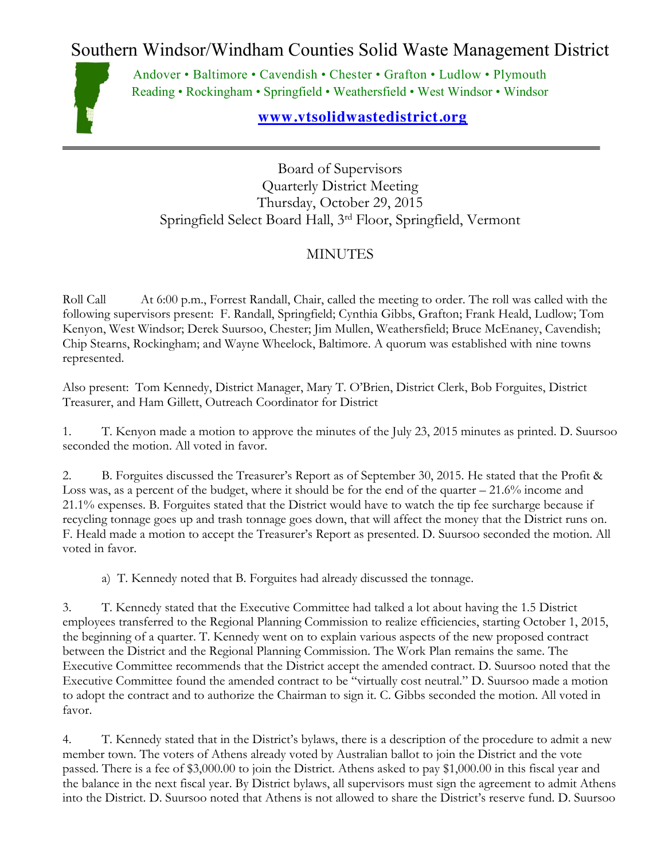Southern Windsor/Windham Counties Solid Waste Management District



Andover • Baltimore • Cavendish • Chester • Grafton • Ludlow • Plymouth Reading • Rockingham • Springfield • Weathersfield • West Windsor • Windsor

## **[www.vtsolidwastedistrict.org](http://www.vtsolidwastedistrict.org/)**

Board of Supervisors Quarterly District Meeting Thursday, October 29, 2015 Springfield Select Board Hall, 3rd Floor, Springfield, Vermont

## MINUTES

Roll Call At 6:00 p.m., Forrest Randall, Chair, called the meeting to order. The roll was called with the following supervisors present: F. Randall, Springfield; Cynthia Gibbs, Grafton; Frank Heald, Ludlow; Tom Kenyon, West Windsor; Derek Suursoo, Chester; Jim Mullen, Weathersfield; Bruce McEnaney, Cavendish; Chip Stearns, Rockingham; and Wayne Wheelock, Baltimore. A quorum was established with nine towns represented.

Also present: Tom Kennedy, District Manager, Mary T. O'Brien, District Clerk, Bob Forguites, District Treasurer, and Ham Gillett, Outreach Coordinator for District

1. T. Kenyon made a motion to approve the minutes of the July 23, 2015 minutes as printed. D. Suursoo seconded the motion. All voted in favor.

2. B. Forguites discussed the Treasurer's Report as of September 30, 2015. He stated that the Profit & Loss was, as a percent of the budget, where it should be for the end of the quarter – 21.6% income and 21.1% expenses. B. Forguites stated that the District would have to watch the tip fee surcharge because if recycling tonnage goes up and trash tonnage goes down, that will affect the money that the District runs on. F. Heald made a motion to accept the Treasurer's Report as presented. D. Suursoo seconded the motion. All voted in favor.

a) T. Kennedy noted that B. Forguites had already discussed the tonnage.

3. T. Kennedy stated that the Executive Committee had talked a lot about having the 1.5 District employees transferred to the Regional Planning Commission to realize efficiencies, starting October 1, 2015, the beginning of a quarter. T. Kennedy went on to explain various aspects of the new proposed contract between the District and the Regional Planning Commission. The Work Plan remains the same. The Executive Committee recommends that the District accept the amended contract. D. Suursoo noted that the Executive Committee found the amended contract to be "virtually cost neutral." D. Suursoo made a motion to adopt the contract and to authorize the Chairman to sign it. C. Gibbs seconded the motion. All voted in favor.

4. T. Kennedy stated that in the District's bylaws, there is a description of the procedure to admit a new member town. The voters of Athens already voted by Australian ballot to join the District and the vote passed. There is a fee of \$3,000.00 to join the District. Athens asked to pay \$1,000.00 in this fiscal year and the balance in the next fiscal year. By District bylaws, all supervisors must sign the agreement to admit Athens into the District. D. Suursoo noted that Athens is not allowed to share the District's reserve fund. D. Suursoo